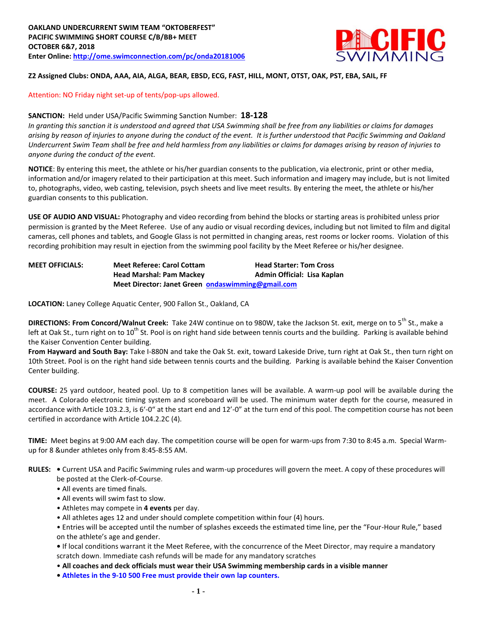

# **Z2 Assigned Clubs: ONDA, AAA, AIA, ALGA, BEAR, EBSD, ECG, FAST, HILL, MONT, OTST, OAK, PST, EBA, SAIL, FF**

#### Attention: NO Friday night set-up of tents/pop-ups allowed.

## **SANCTION:** Held under USA/Pacific Swimming Sanction Number: **18-128**

*In granting this sanction it is understood and agreed that USA Swimming shall be free from any liabilities or claims for damages arising by reason of injuries to anyone during the conduct of the event. It is further understood that Pacific Swimming and Oakland Undercurrent Swim Team shall be free and held harmless from any liabilities or claims for damages arising by reason of injuries to anyone during the conduct of the event.*

**NOTICE**: By entering this meet, the athlete or his/her guardian consents to the publication, via electronic, print or other media, information and/or imagery related to their participation at this meet. Such information and imagery may include, but is not limited to, photographs, video, web casting, television, psych sheets and live meet results. By entering the meet, the athlete or his/her guardian consents to this publication.

**USE OF AUDIO AND VISUAL:** Photography and video recording from behind the blocks or starting areas is prohibited unless prior permission is granted by the Meet Referee. Use of any audio or visual recording devices, including but not limited to film and digital cameras, cell phones and tablets, and Google Glass is not permitted in changing areas, rest rooms or locker rooms. Violation of this recording prohibition may result in ejection from the swimming pool facility by the Meet Referee or his/her designee.

| <b>MEET OFFICIALS:</b> | <b>Meet Referee: Carol Cottam</b>                 | <b>Head Starter: Tom Cross</b> |  |  |  |
|------------------------|---------------------------------------------------|--------------------------------|--|--|--|
|                        | <b>Head Marshal: Pam Mackey</b>                   | Admin Official: Lisa Kaplan    |  |  |  |
|                        | Meet Director: Janet Green ondaswimming@gmail.com |                                |  |  |  |

**LOCATION:** Laney College Aquatic Center, 900 Fallon St., Oakland, CA

**DIRECTIONS: From Concord/Walnut Creek:** Take 24W continue on to 980W, take the Jackson St. exit, merge on to 5<sup>th</sup> St., make a left at Oak St., turn right on to  $10^{th}$  St. Pool is on right hand side between tennis courts and the building. Parking is available behind the Kaiser Convention Center building.

**From Hayward and South Bay:** Take I-880N and take the Oak St. exit, toward Lakeside Drive, turn right at Oak St., then turn right on 10th Street. Pool is on the right hand side between tennis courts and the building. Parking is available behind the Kaiser Convention Center building.

**COURSE:** 25 yard outdoor, heated pool. Up to 8 competition lanes will be available. A warm-up pool will be available during the meet. A Colorado electronic timing system and scoreboard will be used. The minimum water depth for the course, measured in accordance with Article 103.2.3, is 6'-0" at the start end and 12'-0" at the turn end of this pool. The competition course has not been certified in accordance with Article 104.2.2C (4).

**TIME:** Meet begins at 9:00 AM each day. The competition course will be open for warm-ups from 7:30 to 8:45 a.m. Special Warmup for 8 &under athletes only from 8:45-8:55 AM.

**RULES: •** Current USA and Pacific Swimming rules and warm-up procedures will govern the meet. A copy of these procedures will be posted at the Clerk-of-Course.

- All events are timed finals.
- All events will swim fast to slow.
- Athletes may compete in **4 events** per day.
- All athletes ages 12 and under should complete competition within four (4) hours.

• Entries will be accepted until the number of splashes exceeds the estimated time line, per the "Four-Hour Rule," based on the athlete's age and gender.

**•** If local conditions warrant it the Meet Referee, with the concurrence of the Meet Director, may require a mandatory scratch down. Immediate cash refunds will be made for any mandatory scratches

• **All coaches and deck officials must wear their USA Swimming membership cards in a visible manner**

**• Athletes in the 9-10 500 Free must provide their own lap counters.**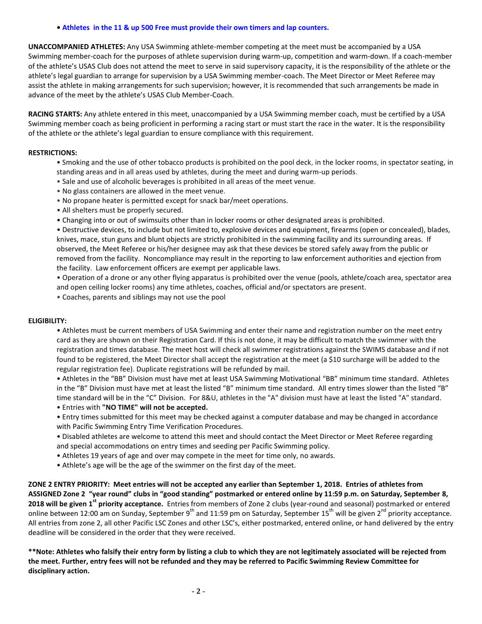#### **• Athletes in the 11 & up 500 Free must provide their own timers and lap counters.**

**UNACCOMPANIED ATHLETES:** Any USA Swimming athlete-member competing at the meet must be accompanied by a USA Swimming member-coach for the purposes of athlete supervision during warm-up, competition and warm-down. If a coach-member of the athlete's USAS Club does not attend the meet to serve in said supervisory capacity, it is the responsibility of the athlete or the athlete's legal guardian to arrange for supervision by a USA Swimming member-coach. The Meet Director or Meet Referee may assist the athlete in making arrangements for such supervision; however, it is recommended that such arrangements be made in advance of the meet by the athlete's USAS Club Member-Coach.

**RACING STARTS:** Any athlete entered in this meet, unaccompanied by a USA Swimming member coach, must be certified by a USA Swimming member coach as being proficient in performing a racing start or must start the race in the water. It is the responsibility of the athlete or the athlete's legal guardian to ensure compliance with this requirement.

# **RESTRICTIONS:**

- Smoking and the use of other tobacco products is prohibited on the pool deck, in the locker rooms, in spectator seating, in standing areas and in all areas used by athletes, during the meet and during warm-up periods.
- Sale and use of alcoholic beverages is prohibited in all areas of the meet venue.
- No glass containers are allowed in the meet venue.
- No propane heater is permitted except for snack bar/meet operations.
- All shelters must be properly secured.
- Changing into or out of swimsuits other than in locker rooms or other designated areas is prohibited.

• Destructive devices, to include but not limited to, explosive devices and equipment, firearms (open or concealed), blades, knives, mace, stun guns and blunt objects are strictly prohibited in the swimming facility and its surrounding areas. If observed, the Meet Referee or his/her designee may ask that these devices be stored safely away from the public or removed from the facility. Noncompliance may result in the reporting to law enforcement authorities and ejection from the facility. Law enforcement officers are exempt per applicable laws.

• Operation of a drone or any other flying apparatus is prohibited over the venue (pools, athlete/coach area, spectator area and open ceiling locker rooms) any time athletes, coaches, official and/or spectators are present.

• Coaches, parents and siblings may not use the pool

## **ELIGIBILITY:**

• Athletes must be current members of USA Swimming and enter their name and registration number on the meet entry card as they are shown on their Registration Card. If this is not done, it may be difficult to match the swimmer with the registration and times database. The meet host will check all swimmer registrations against the SWIMS database and if not found to be registered, the Meet Director shall accept the registration at the meet (a \$10 surcharge will be added to the regular registration fee). Duplicate registrations will be refunded by mail.

• Athletes in the "BB" Division must have met at least USA Swimming Motivational "BB" minimum time standard. Athletes in the "B" Division must have met at least the listed "B" minimum time standard. All entry times slower than the listed "B" time standard will be in the "C" Division. For 8&U, athletes in the "A" division must have at least the listed "A" standard.

- Entries with **"NO TIME" will not be accepted.**
- Entry times submitted for this meet may be checked against a computer database and may be changed in accordance with Pacific Swimming Entry Time Verification Procedures.
- Disabled athletes are welcome to attend this meet and should contact the Meet Director or Meet Referee regarding and special accommodations on entry times and seeding per Pacific Swimming policy.
- Athletes 19 years of age and over may compete in the meet for time only, no awards.
- Athlete's age will be the age of the swimmer on the first day of the meet.

**ZONE 2 ENTRY PRIORITY: Meet entries will not be accepted any earlier than September 1, 2018. Entries of athletes from ASSIGNED Zone 2 "year round" clubs in "good standing" postmarked or entered online by 11:59 p.m. on Saturday, September 8, 2018 will be given 1st priority acceptance.** Entries from members of Zone 2 clubs (year-round and seasonal) postmarked or entered online between 12:00 am on Sunday, September 9<sup>th</sup> and 11:59 pm on Saturday, September 15<sup>th</sup> will be given 2<sup>nd</sup> priority acceptance. All entries from zone 2, all other Pacific LSC Zones and other LSC's, either postmarked, entered online, or hand delivered by the entry deadline will be considered in the order that they were received.

**\*\*Note: Athletes who falsify their entry form by listing a club to which they are not legitimately associated will be rejected from the meet. Further, entry fees will not be refunded and they may be referred to Pacific Swimming Review Committee for disciplinary action.**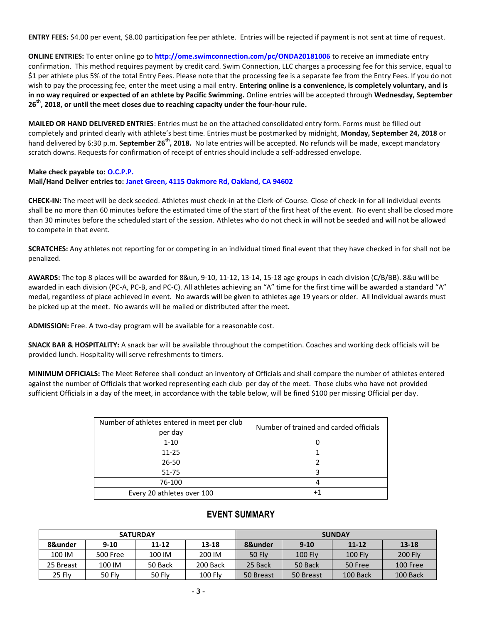**ENTRY FEES:** \$4.00 per event, \$8.00 participation fee per athlete. Entries will be rejected if payment is not sent at time of request.

**ONLINE ENTRIES:** To enter online go to **<http://ome.swimconnection.com/pc/ONDA20181006>** to receive an immediate entry confirmation. This method requires payment by credit card. Swim Connection, LLC charges a processing fee for this service, equal to \$1 per athlete plus 5% of the total Entry Fees. Please note that the processing fee is a separate fee from the Entry Fees. If you do not wish to pay the processing fee, enter the meet using a mail entry. **Entering online is a convenience, is completely voluntary, and is in no way required or expected of an athlete by Pacific Swimming.** Online entries will be accepted through **Wednesday, September 26th, 2018, or until the meet closes due to reaching capacity under the four-hour rule.** 

**MAILED OR HAND DELIVERED ENTRIES**: Entries must be on the attached consolidated entry form. Forms must be filled out completely and printed clearly with athlete's best time. Entries must be postmarked by midnight, **Monday, September 24, 2018** or hand delivered by 6:30 p.m. **September 26th, 2018.** No late entries will be accepted. No refunds will be made, except mandatory scratch downs. Requests for confirmation of receipt of entries should include a self-addressed envelope.

# **Make check payable to: O.C.P.P. Mail/Hand Deliver entries to: Janet Green, 4115 Oakmore Rd, Oakland, CA 94602**

**CHECK-IN:** The meet will be deck seeded. Athletes must check-in at the Clerk-of-Course. Close of check-in for all individual events shall be no more than 60 minutes before the estimated time of the start of the first heat of the event. No event shall be closed more than 30 minutes before the scheduled start of the session. Athletes who do not check in will not be seeded and will not be allowed to compete in that event.

**SCRATCHES:** Any athletes not reporting for or competing in an individual timed final event that they have checked in for shall not be penalized.

**AWARDS:** The top 8 places will be awarded for 8&un, 9-10, 11-12, 13-14, 15-18 age groups in each division (C/B/BB). 8&u will be awarded in each division (PC-A, PC-B, and PC-C). All athletes achieving an "A" time for the first time will be awarded a standard "A" medal, regardless of place achieved in event. No awards will be given to athletes age 19 years or older. All Individual awards must be picked up at the meet. No awards will be mailed or distributed after the meet.

**ADMISSION:** Free. A two-day program will be available for a reasonable cost.

**SNACK BAR & HOSPITALITY:** A snack bar will be available throughout the competition. Coaches and working deck officials will be provided lunch. Hospitality will serve refreshments to timers.

**MINIMUM OFFICIALS:** The Meet Referee shall conduct an inventory of Officials and shall compare the number of athletes entered against the number of Officials that worked representing each club per day of the meet. Those clubs who have not provided sufficient Officials in a day of the meet, in accordance with the table below, will be fined \$100 per missing Official per day.

| Number of athletes entered in meet per club<br>per day | Number of trained and carded officials |  |  |  |  |  |
|--------------------------------------------------------|----------------------------------------|--|--|--|--|--|
| $1 - 10$                                               |                                        |  |  |  |  |  |
| $11 - 25$                                              |                                        |  |  |  |  |  |
| $26 - 50$                                              |                                        |  |  |  |  |  |
| $51 - 75$                                              |                                        |  |  |  |  |  |
| 76-100                                                 |                                        |  |  |  |  |  |
| Every 20 athletes over 100                             |                                        |  |  |  |  |  |

# **EVENT SUMMARY**

|           |          | <b>SATURDAY</b> |          | <b>SUNDAY</b> |                |                |                |  |  |
|-----------|----------|-----------------|----------|---------------|----------------|----------------|----------------|--|--|
| 8&under   | $9 - 10$ | $11 - 12$       | 13-18    | 8&under       | $9 - 10$       | $11 - 12$      | $13 - 18$      |  |  |
| 100 IM    | 500 Free | 100 IM          | 200 IM   | 50 Flv        | <b>100 Flv</b> | <b>100 Flv</b> | <b>200 Fly</b> |  |  |
| 25 Breast | 100 IM   | 50 Back         | 200 Back | 25 Back       | 50 Back        | 50 Free        | 100 Free       |  |  |
| 25 Flv    | 50 Fly   | 50 Fly          | 100 Flv  | 50 Breast     | 50 Breast      | 100 Back       | 100 Back       |  |  |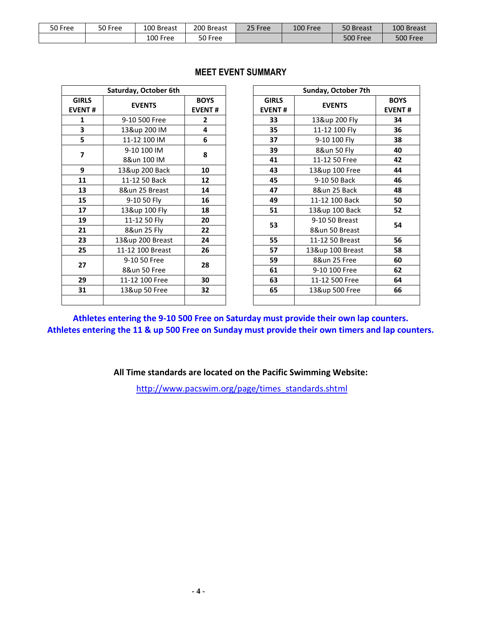| 50 Free | 50 Free | 100 Breast | 200 Breast | 25 Free | 100 Free | 50 Breast       | 100 Breast |
|---------|---------|------------|------------|---------|----------|-----------------|------------|
|         |         | 100 Free   | 50 Free    |         |          | <b>500 Free</b> | 500 Free   |

|                               | Saturday, October 6th |                              |                               | <b>Sunday, October</b> |
|-------------------------------|-----------------------|------------------------------|-------------------------------|------------------------|
| <b>GIRLS</b><br><b>EVENT#</b> | <b>EVENTS</b>         | <b>BOYS</b><br><b>EVENT#</b> | <b>GIRLS</b><br><b>EVENT#</b> | <b>EVENTS</b>          |
| $\mathbf{1}$                  | 9-10 500 Free         | $\overline{2}$               | 33                            | 13&up 200 Fly          |
| 3                             | 13&up 200 IM          | 4                            | 35                            | 11-12 100 Fly          |
| 5                             | 11-12 100 IM          | 6                            | 37                            | 9-10 100 Fly           |
| $\overline{\mathbf{z}}$       | 9-10 100 IM           | 8                            | 39                            | 8&un 50 Fly            |
|                               | 8&un 100 IM           |                              | 41                            | 11-12 50 Free          |
| 9                             | 13&up 200 Back        | 10                           | 43                            | 13&up 100 Fre          |
| 11                            | 11-12 50 Back         | 12                           | 45                            | 9-10 50 Back           |
| 13                            | 8&un 25 Breast        | 14                           | 47                            | 8&un 25 Back           |
| 15                            | 9-10 50 Fly           | 16                           | 49                            | 11-12 100 Back         |
| 17                            | 13&up 100 Fly         | 18                           | 51                            | 13&up 100 Bac          |
| 19                            | 11-12 50 Fly          | 20                           |                               | 9-10 50 Breast         |
| 21                            | 8&un 25 Fly           | 22                           | 53                            | 8&un 50 Breas          |
| 23                            | 13&up 200 Breast      | 24                           | 55                            | 11-12 50 Breas         |
| 25                            | 11-12 100 Breast      | 26                           | 57                            | 13&up 100 Brea         |
| 27                            | 9-10 50 Free          | 28                           | 59                            | 8&un 25 Free           |
|                               | 8&un 50 Free          |                              | 61                            | 9-10 100 Free          |
| 29                            | 11-12 100 Free        | 30                           | 63                            | 11-12 500 Free         |
| 31                            | 13&up 50 Free         | 32                           | 65                            | 13&up 500 Fre          |
|                               |                       |                              |                               |                        |

# **MEET EVENT SUMMARY**

|                         | Saturday, October 6th |                              |                               | Sunday, October 7th |                              |  |
|-------------------------|-----------------------|------------------------------|-------------------------------|---------------------|------------------------------|--|
| <b>IRLS</b><br>ENT#     | <b>EVENTS</b>         | <b>BOYS</b><br><b>EVENT#</b> | <b>GIRLS</b><br><b>EVENT#</b> | <b>EVENTS</b>       | <b>BOYS</b><br><b>EVENT#</b> |  |
| $\mathbf 1$             | 9-10 500 Free         | $\mathbf{2}$                 | 33                            | 13&up 200 Fly       | 34                           |  |
| $\overline{\mathbf{3}}$ | 13&up 200 IM          | 4                            | 35                            | 11-12 100 Fly       | 36                           |  |
| $\overline{\mathbf{5}}$ | 11-12 100 IM          | 6                            | 37                            | 9-10 100 Fly        | 38                           |  |
| $\overline{\mathbf{z}}$ | 9-10 100 IM           | 8                            | 39                            | 8&un 50 Fly         | 40                           |  |
| $\boldsymbol{9}$        | 8&un 100 IM           |                              | 41                            | 11-12 50 Free       | 42                           |  |
|                         | 13&up 200 Back        | 10                           | 43                            | 13&up 100 Free      | 44                           |  |
| 11                      | 11-12 50 Back         | 12                           | 45                            | 9-10 50 Back        | 46                           |  |
| 13                      | 8&un 25 Breast        | 14                           | 47                            | 8&un 25 Back        | 48                           |  |
| 15                      | 9-10 50 Fly           | 16                           | 49                            | 11-12 100 Back      | 50                           |  |
| 17                      | 13&up 100 Fly         | 18                           | 51                            | 13&up 100 Back      | 52                           |  |
| 19                      | 11-12 50 Fly          | 20                           | 53                            | 9-10 50 Breast      | 54                           |  |
| 21                      | 8&un 25 Fly           | 22                           |                               | 8&un 50 Breast      |                              |  |
| 23                      | 13&up 200 Breast      | 24                           | 55                            | 11-12 50 Breast     | 56                           |  |
| 25                      | 11-12 100 Breast      | 26                           | 57                            | 13&up 100 Breast    | 58                           |  |
| 27                      | 9-10 50 Free          | 28                           | 59                            | 8&un 25 Free        | 60                           |  |
|                         | 8&un 50 Free          |                              | 61                            | 9-10 100 Free       | 62                           |  |
| 29                      | 11-12 100 Free        | 30                           | 63                            | 11-12 500 Free      | 64                           |  |
| 31                      | 13&up 50 Free         | 32                           | 65                            | 13&up 500 Free      | 66                           |  |
|                         |                       |                              |                               |                     |                              |  |

**Athletes entering the 9-10 500 Free on Saturday must provide their own lap counters. Athletes entering the 11 & up 500 Free on Sunday must provide their own timers and lap counters.**

**All Time standards are located on the Pacific Swimming Website:**

[http://www.pacswim.org/page/times\\_standards.shtml](http://www.pacswim.org/page/times_standards.shtml)